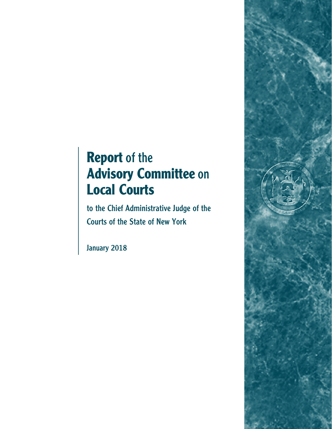# **Report** of the **Advisory Committee** on **Local Courts**

to the Chief Administrative Judge of the Courts of the State of New York

January 2018

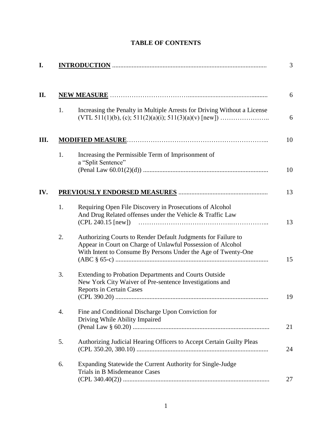| 1. | Increasing the Penalty in Multiple Arrests for Driving Without a License                                                                                                                      |  |
|----|-----------------------------------------------------------------------------------------------------------------------------------------------------------------------------------------------|--|
|    |                                                                                                                                                                                               |  |
| 1. | Increasing the Permissible Term of Imprisonment of<br>a "Split Sentence"                                                                                                                      |  |
|    |                                                                                                                                                                                               |  |
| 1. | Requiring Open File Discovery in Prosecutions of Alcohol<br>And Drug Related offenses under the Vehicle & Traffic Law<br>$(CPL 240.15$ [new])                                                 |  |
| 2. | Authorizing Courts to Render Default Judgments for Failure to<br>Appear in Court on Charge of Unlawful Possession of Alcohol<br>With Intent to Consume By Persons Under the Age of Twenty-One |  |
| 3. | Extending to Probation Departments and Courts Outside<br>New York City Waiver of Pre-sentence Investigations and<br><b>Reports in Certain Cases</b>                                           |  |
| 4. | Fine and Conditional Discharge Upon Conviction for<br>Driving While Ability Impaired                                                                                                          |  |
| 5. | Authorizing Judicial Hearing Officers to Accept Certain Guilty Pleas                                                                                                                          |  |
| 6. | Expanding Statewide the Current Authority for Single-Judge<br>Trials in B Misdemeanor Cases                                                                                                   |  |

# **TABLE OF CONTENTS**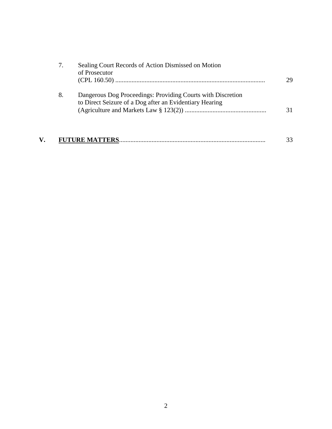|    | Sealing Court Records of Action Dismissed on Motion<br>of Prosecutor                                                   | 29 |
|----|------------------------------------------------------------------------------------------------------------------------|----|
| 8. | Dangerous Dog Proceedings: Providing Courts with Discretion<br>to Direct Seizure of a Dog after an Evidentiary Hearing | 31 |
|    |                                                                                                                        | 33 |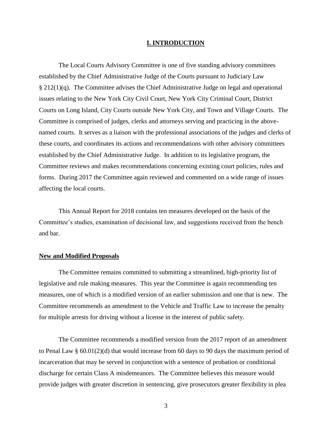#### **I. INTRODUCTION**

The Local Courts Advisory Committee is one of five standing advisory committees established by the Chief Administrative Judge of the Courts pursuant to Judiciary Law § 212(1)(q). The Committee advises the Chief Administrative Judge on legal and operational issues relating to the New York City Civil Court, New York City Criminal Court, District Courts on Long Island, City Courts outside New York City, and Town and Village Courts. The Committee is comprised of judges, clerks and attorneys serving and practicing in the abovenamed courts. It serves as a liaison with the professional associations of the judges and clerks of these courts, and coordinates its actions and recommendations with other advisory committees established by the Chief Administrative Judge. In addition to its legislative program, the Committee reviews and makes recommendations concerning existing court policies, rules and forms. During 2017 the Committee again reviewed and commented on a wide range of issues affecting the local courts.

This Annual Report for 2018 contains ten measures developed on the basis of the Committee's studies, examination of decisional law, and suggestions received from the bench and bar.

#### **New and Modified Proposals**

The Committee remains committed to submitting a streamlined, high-priority list of legislative and rule making measures. This year the Committee is again recommending ten measures, one of which is a modified version of an earlier submission and one that is new. The Committee recommends an amendment to the Vehicle and Traffic Law to increase the penalty for multiple arrests for driving without a license in the interest of public safety.

The Committee recommends a modified version from the 2017 report of an amendment to Penal Law § 60.01(2)(d) that would increase from 60 days to 90 days the maximum period of incarceration that may be served in conjunction with a sentence of probation or conditional discharge for certain Class A misdemeanors. The Committee believes this measure would provide judges with greater discretion in sentencing, give prosecutors greater flexibility in plea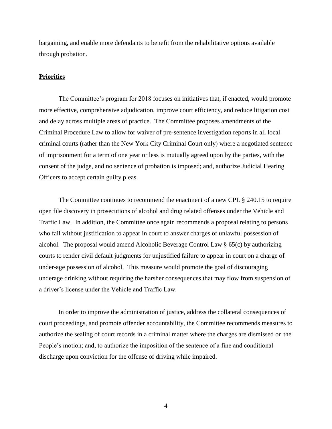bargaining, and enable more defendants to benefit from the rehabilitative options available through probation.

#### **Priorities**

The Committee's program for 2018 focuses on initiatives that, if enacted, would promote more effective, comprehensive adjudication, improve court efficiency, and reduce litigation cost and delay across multiple areas of practice. The Committee proposes amendments of the Criminal Procedure Law to allow for waiver of pre-sentence investigation reports in all local criminal courts (rather than the New York City Criminal Court only) where a negotiated sentence of imprisonment for a term of one year or less is mutually agreed upon by the parties, with the consent of the judge, and no sentence of probation is imposed; and, authorize Judicial Hearing Officers to accept certain guilty pleas.

The Committee continues to recommend the enactment of a new CPL § 240.15 to require open file discovery in prosecutions of alcohol and drug related offenses under the Vehicle and Traffic Law. In addition, the Committee once again recommends a proposal relating to persons who fail without justification to appear in court to answer charges of unlawful possession of alcohol. The proposal would amend Alcoholic Beverage Control Law § 65(c) by authorizing courts to render civil default judgments for unjustified failure to appear in court on a charge of under-age possession of alcohol. This measure would promote the goal of discouraging underage drinking without requiring the harsher consequences that may flow from suspension of a driver's license under the Vehicle and Traffic Law.

In order to improve the administration of justice, address the collateral consequences of court proceedings, and promote offender accountability, the Committee recommends measures to authorize the sealing of court records in a criminal matter where the charges are dismissed on the People's motion; and, to authorize the imposition of the sentence of a fine and conditional discharge upon conviction for the offense of driving while impaired.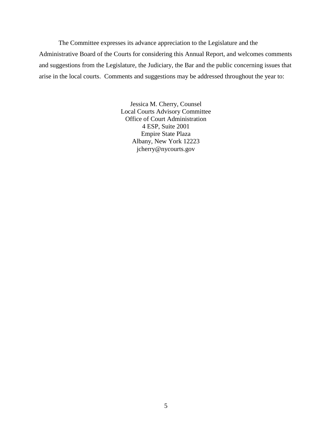The Committee expresses its advance appreciation to the Legislature and the Administrative Board of the Courts for considering this Annual Report, and welcomes comments and suggestions from the Legislature, the Judiciary, the Bar and the public concerning issues that arise in the local courts. Comments and suggestions may be addressed throughout the year to:

> Jessica M. Cherry, Counsel Local Courts Advisory Committee Office of Court Administration 4 ESP, Suite 2001 Empire State Plaza Albany, New York 12223 jcherry@nycourts.gov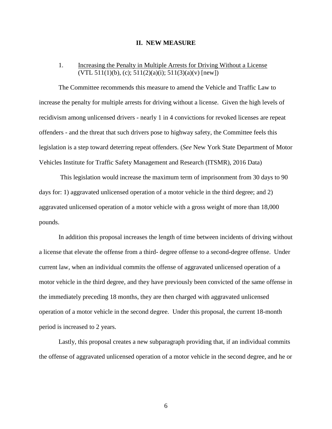#### **II. NEW MEASURE**

## 1. Increasing the Penalty in Multiple Arrests for Driving Without a License  $(VTL 511(1)(b), (c); 511(2)(a)(i); 511(3)(a)(v)$  [new])

The Committee recommends this measure to amend the Vehicle and Traffic Law to increase the penalty for multiple arrests for driving without a license. Given the high levels of recidivism among unlicensed drivers - nearly 1 in 4 convictions for revoked licenses are repeat offenders - and the threat that such drivers pose to highway safety, the Committee feels this legislation is a step toward deterring repeat offenders. (*See* New York State Department of Motor Vehicles Institute for Traffic Safety Management and Research (ITSMR), 2016 Data)

This legislation would increase the maximum term of imprisonment from 30 days to 90 days for: 1) aggravated unlicensed operation of a motor vehicle in the third degree; and 2) aggravated unlicensed operation of a motor vehicle with a gross weight of more than 18,000 pounds.

In addition this proposal increases the length of time between incidents of driving without a license that elevate the offense from a third- degree offense to a second-degree offense. Under current law, when an individual commits the offense of aggravated unlicensed operation of a motor vehicle in the third degree, and they have previously been convicted of the same offense in the immediately preceding 18 months, they are then charged with aggravated unlicensed operation of a motor vehicle in the second degree. Under this proposal, the current 18-month period is increased to 2 years.

Lastly, this proposal creates a new subparagraph providing that, if an individual commits the offense of aggravated unlicensed operation of a motor vehicle in the second degree, and he or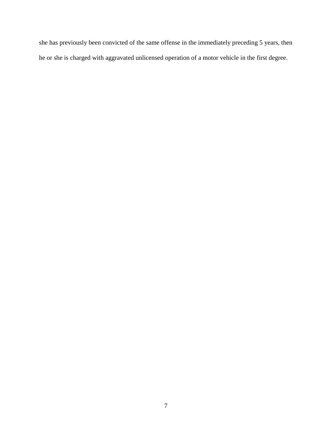she has previously been convicted of the same offense in the immediately preceding 5 years, then he or she is charged with aggravated unlicensed operation of a motor vehicle in the first degree.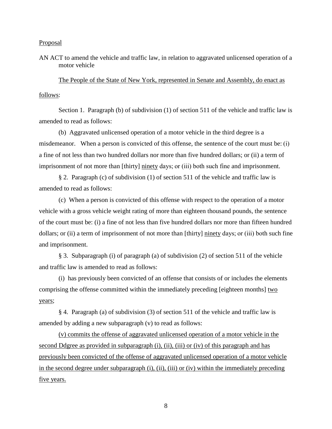AN ACT to amend the vehicle and traffic law, in relation to aggravated unlicensed operation of a motor vehicle

The People of the State of New York, represented in Senate and Assembly, do enact as follows:

Section 1. Paragraph (b) of subdivision (1) of section 511 of the vehicle and traffic law is amended to read as follows:

(b) Aggravated unlicensed operation of a motor vehicle in the third degree is a misdemeanor. When a person is convicted of this offense, the sentence of the court must be: (i) a fine of not less than two hundred dollars nor more than five hundred dollars; or (ii) a term of imprisonment of not more than [thirty] ninety days; or (iii) both such fine and imprisonment.

§ 2. Paragraph (c) of subdivision (1) of section 511 of the vehicle and traffic law is amended to read as follows:

(c) When a person is convicted of this offense with respect to the operation of a motor vehicle with a gross vehicle weight rating of more than eighteen thousand pounds, the sentence of the court must be: (i) a fine of not less than five hundred dollars nor more than fifteen hundred dollars; or (ii) a term of imprisonment of not more than [thirty] ninety days; or (iii) both such fine and imprisonment.

§ 3. Subparagraph (i) of paragraph (a) of subdivision (2) of section 511 of the vehicle and traffic law is amended to read as follows:

(i) has previously been convicted of an offense that consists of or includes the elements comprising the offense committed within the immediately preceding [eighteen months] two years;

§ 4. Paragraph (a) of subdivision (3) of section 511 of the vehicle and traffic law is amended by adding a new subparagraph (v) to read as follows:

(v) commits the offense of aggravated unlicensed operation of a motor vehicle in the second Ddgree as provided in subparagraph (i), (ii), (iii) or (iv) of this paragraph and has previously been convicted of the offense of aggravated unlicensed operation of a motor vehicle in the second degree under subparagraph (i), (ii), (iii) or (iv) within the immediately preceding five years.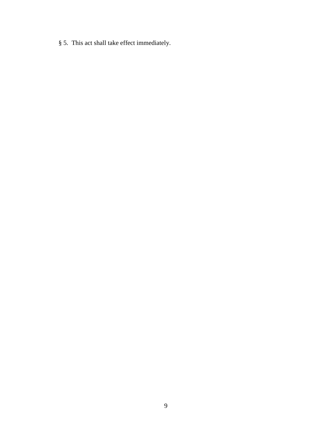§ 5. This act shall take effect immediately.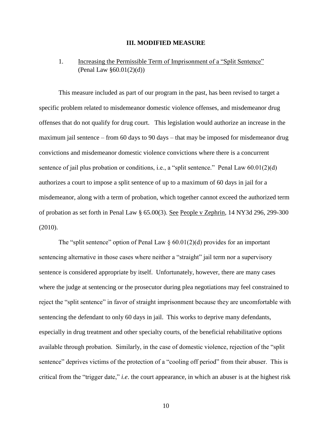#### **III. MODIFIED MEASURE**

# 1. Increasing the Permissible Term of Imprisonment of a "Split Sentence" (Penal Law  $§60.01(2)(d)$ )

This measure included as part of our program in the past, has been revised to target a specific problem related to misdemeanor domestic violence offenses, and misdemeanor drug offenses that do not qualify for drug court. This legislation would authorize an increase in the maximum jail sentence – from 60 days to 90 days – that may be imposed for misdemeanor drug convictions and misdemeanor domestic violence convictions where there is a concurrent sentence of jail plus probation or conditions, i.e., a "split sentence." Penal Law  $60.01(2)(d)$ authorizes a court to impose a split sentence of up to a maximum of 60 days in jail for a misdemeanor, along with a term of probation, which together cannot exceed the authorized term of probation as set forth in Penal Law § 65.00(3). See People v Zephrin, 14 NY3d 296, 299-300 (2010).

The "split sentence" option of Penal Law  $\S 60.01(2)(d)$  provides for an important sentencing alternative in those cases where neither a "straight" jail term nor a supervisory sentence is considered appropriate by itself. Unfortunately, however, there are many cases where the judge at sentencing or the prosecutor during plea negotiations may feel constrained to reject the "split sentence" in favor of straight imprisonment because they are uncomfortable with sentencing the defendant to only 60 days in jail. This works to deprive many defendants, especially in drug treatment and other specialty courts, of the beneficial rehabilitative options available through probation. Similarly, in the case of domestic violence, rejection of the "split sentence" deprives victims of the protection of a "cooling off period" from their abuser. This is critical from the "trigger date," *i.e*. the court appearance, in which an abuser is at the highest risk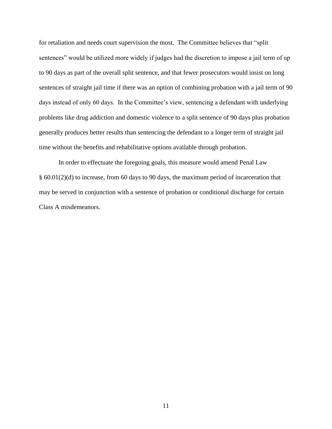for retaliation and needs court supervision the most. The Committee believes that "split sentences" would be utilized more widely if judges had the discretion to impose a jail term of up to 90 days as part of the overall split sentence, and that fewer prosecutors would insist on long sentences of straight jail time if there was an option of combining probation with a jail term of 90 days instead of only 60 days. In the Committee's view, sentencing a defendant with underlying problems like drug addiction and domestic violence to a split sentence of 90 days plus probation generally produces better results than sentencing the defendant to a longer term of straight jail time without the benefits and rehabilitative options available through probation.

In order to effectuate the foregoing goals, this measure would amend Penal Law § 60.01(2)(d) to increase, from 60 days to 90 days, the maximum period of incarceration that may be served in conjunction with a sentence of probation or conditional discharge for certain Class A misdemeanors.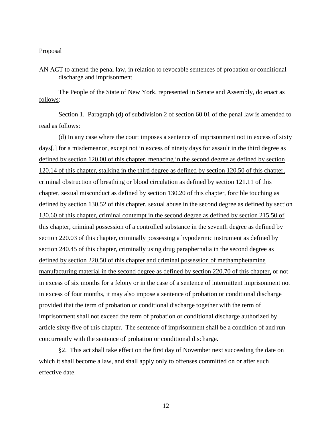AN ACT to amend the penal law, in relation to revocable sentences of probation or conditional discharge and imprisonment

The People of the State of New York, represented in Senate and Assembly, do enact as follows:

Section 1. Paragraph (d) of subdivision 2 of section 60.01 of the penal law is amended to read as follows:

(d) In any case where the court imposes a sentence of imprisonment not in excess of sixty days[,] for a misdemeanor, except not in excess of ninety days for assault in the third degree as defined by section 120.00 of this chapter, menacing in the second degree as defined by section 120.14 of this chapter, stalking in the third degree as defined by section 120.50 of this chapter, criminal obstruction of breathing or blood circulation as defined by section 121.11 of this chapter, sexual misconduct as defined by section 130.20 of this chapter, forcible touching as defined by section 130.52 of this chapter, sexual abuse in the second degree as defined by section 130.60 of this chapter, criminal contempt in the second degree as defined by section 215.50 of this chapter, criminal possession of a controlled substance in the seventh degree as defined by section 220.03 of this chapter, criminally possessing a hypodermic instrument as defined by section 240.45 of this chapter, criminally using drug paraphernalia in the second degree as defined by section 220.50 of this chapter and criminal possession of methamphetamine manufacturing material in the second degree as defined by section 220.70 of this chapter, or not in excess of six months for a felony or in the case of a sentence of intermittent imprisonment not in excess of four months, it may also impose a sentence of probation or conditional discharge provided that the term of probation or conditional discharge together with the term of imprisonment shall not exceed the term of probation or conditional discharge authorized by article sixty-five of this chapter. The sentence of imprisonment shall be a condition of and run concurrently with the sentence of probation or conditional discharge.

§2. This act shall take effect on the first day of November next succeeding the date on which it shall become a law, and shall apply only to offenses committed on or after such effective date.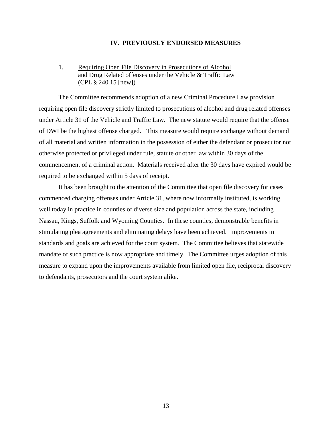#### **IV. PREVIOUSLY ENDORSED MEASURES**

## 1. Requiring Open File Discovery in Prosecutions of Alcohol and Drug Related offenses under the Vehicle & Traffic Law (CPL § 240.15 [new])

The Committee recommends adoption of a new Criminal Procedure Law provision requiring open file discovery strictly limited to prosecutions of alcohol and drug related offenses under Article 31 of the Vehicle and Traffic Law. The new statute would require that the offense of DWI be the highest offense charged. This measure would require exchange without demand of all material and written information in the possession of either the defendant or prosecutor not otherwise protected or privileged under rule, statute or other law within 30 days of the commencement of a criminal action. Materials received after the 30 days have expired would be required to be exchanged within 5 days of receipt.

It has been brought to the attention of the Committee that open file discovery for cases commenced charging offenses under Article 31, where now informally instituted, is working well today in practice in counties of diverse size and population across the state, including Nassau, Kings, Suffolk and Wyoming Counties. In these counties, demonstrable benefits in stimulating plea agreements and eliminating delays have been achieved. Improvements in standards and goals are achieved for the court system. The Committee believes that statewide mandate of such practice is now appropriate and timely. The Committee urges adoption of this measure to expand upon the improvements available from limited open file, reciprocal discovery to defendants, prosecutors and the court system alike.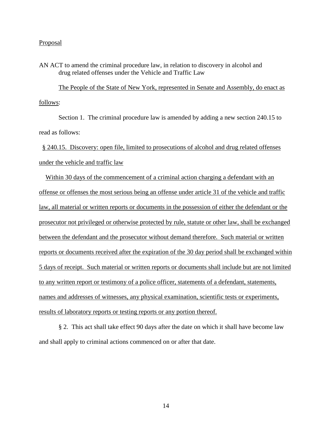AN ACT to amend the criminal procedure law, in relation to discovery in alcohol and drug related offenses under the Vehicle and Traffic Law

The People of the State of New York, represented in Senate and Assembly, do enact as follows:

Section 1. The criminal procedure law is amended by adding a new section 240.15 to read as follows:

 § 240.15. Discovery: open file, limited to prosecutions of alcohol and drug related offenses under the vehicle and traffic law

 Within 30 days of the commencement of a criminal action charging a defendant with an offense or offenses the most serious being an offense under article 31 of the vehicle and traffic law, all material or written reports or documents in the possession of either the defendant or the prosecutor not privileged or otherwise protected by rule, statute or other law, shall be exchanged between the defendant and the prosecutor without demand therefore. Such material or written reports or documents received after the expiration of the 30 day period shall be exchanged within 5 days of receipt. Such material or written reports or documents shall include but are not limited to any written report or testimony of a police officer, statements of a defendant, statements, names and addresses of witnesses, any physical examination, scientific tests or experiments, results of laboratory reports or testing reports or any portion thereof.

§ 2. This act shall take effect 90 days after the date on which it shall have become law and shall apply to criminal actions commenced on or after that date.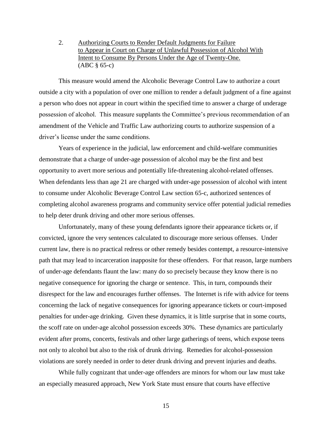2. Authorizing Courts to Render Default Judgments for Failure to Appear in Court on Charge of Unlawful Possession of Alcohol With Intent to Consume By Persons Under the Age of Twenty-One. (ABC § 65-c)

This measure would amend the Alcoholic Beverage Control Law to authorize a court outside a city with a population of over one million to render a default judgment of a fine against a person who does not appear in court within the specified time to answer a charge of underage possession of alcohol. This measure supplants the Committee's previous recommendation of an amendment of the Vehicle and Traffic Law authorizing courts to authorize suspension of a driver's license under the same conditions.

Years of experience in the judicial, law enforcement and child-welfare communities demonstrate that a charge of under-age possession of alcohol may be the first and best opportunity to avert more serious and potentially life-threatening alcohol-related offenses. When defendants less than age 21 are charged with under-age possession of alcohol with intent to consume under Alcoholic Beverage Control Law section 65-c, authorized sentences of completing alcohol awareness programs and community service offer potential judicial remedies to help deter drunk driving and other more serious offenses.

Unfortunately, many of these young defendants ignore their appearance tickets or, if convicted, ignore the very sentences calculated to discourage more serious offenses. Under current law, there is no practical redress or other remedy besides contempt, a resource-intensive path that may lead to incarceration inapposite for these offenders. For that reason, large numbers of under-age defendants flaunt the law: many do so precisely because they know there is no negative consequence for ignoring the charge or sentence. This, in turn, compounds their disrespect for the law and encourages further offenses. The Internet is rife with advice for teens concerning the lack of negative consequences for ignoring appearance tickets or court-imposed penalties for under-age drinking. Given these dynamics, it is little surprise that in some courts, the scoff rate on under-age alcohol possession exceeds 30%. These dynamics are particularly evident after proms, concerts, festivals and other large gatherings of teens, which expose teens not only to alcohol but also to the risk of drunk driving. Remedies for alcohol-possession violations are sorely needed in order to deter drunk driving and prevent injuries and deaths.

While fully cognizant that under-age offenders are minors for whom our law must take an especially measured approach, New York State must ensure that courts have effective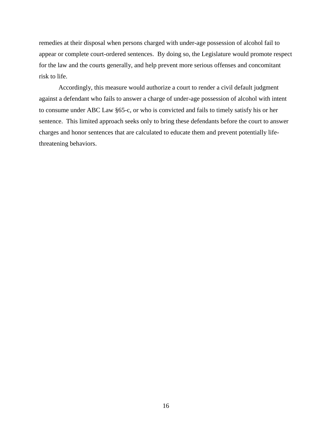remedies at their disposal when persons charged with under-age possession of alcohol fail to appear or complete court-ordered sentences. By doing so, the Legislature would promote respect for the law and the courts generally, and help prevent more serious offenses and concomitant risk to life.

Accordingly, this measure would authorize a court to render a civil default judgment against a defendant who fails to answer a charge of under-age possession of alcohol with intent to consume under ABC Law §65-c, or who is convicted and fails to timely satisfy his or her sentence. This limited approach seeks only to bring these defendants before the court to answer charges and honor sentences that are calculated to educate them and prevent potentially lifethreatening behaviors.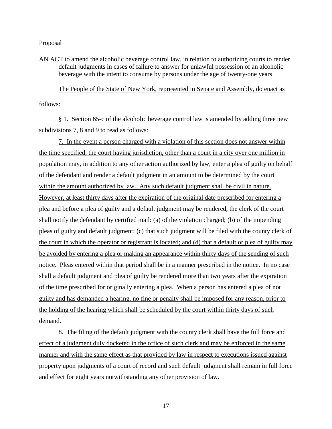AN ACT to amend the alcoholic beverage control law, in relation to authorizing courts to render default judgments in cases of failure to answer for unlawful possession of an alcoholic beverage with the intent to consume by persons under the age of twenty-one years

The People of the State of New York, represented in Senate and Assembly, do enact as follows:

§ 1. Section 65-c of the alcoholic beverage control law is amended by adding three new subdivisions 7, 8 and 9 to read as follows:

7. In the event a person charged with a violation of this section does not answer within the time specified, the court having jurisdiction, other than a court in a city over one million in population may, in addition to any other action authorized by law, enter a plea of guilty on behalf of the defendant and render a default judgment in an amount to be determined by the court within the amount authorized by law. Any such default judgment shall be civil in nature. However, at least thirty days after the expiration of the original date prescribed for entering a plea and before a plea of guilty and a default judgment may be rendered, the clerk of the court shall notify the defendant by certified mail: (a) of the violation charged; (b) of the impending pleas of guilty and default judgment; (c) that such judgment will be filed with the county clerk of the court in which the operator or registrant is located; and (d) that a default or plea of guilty may be avoided by entering a plea or making an appearance within thirty days of the sending of such notice. Pleas entered within that period shall be in a manner prescribed in the notice. In no case shall a default judgment and plea of guilty be rendered more than two years after the expiration of the time prescribed for originally entering a plea. When a person has entered a plea of not guilty and has demanded a hearing, no fine or penalty shall be imposed for any reason, prior to the holding of the hearing which shall be scheduled by the court within thirty days of such demand.

8. The filing of the default judgment with the county clerk shall have the full force and effect of a judgment duly docketed in the office of such clerk and may be enforced in the same manner and with the same effect as that provided by law in respect to executions issued against property upon judgments of a court of record and such default judgment shall remain in full force and effect for eight years notwithstanding any other provision of law.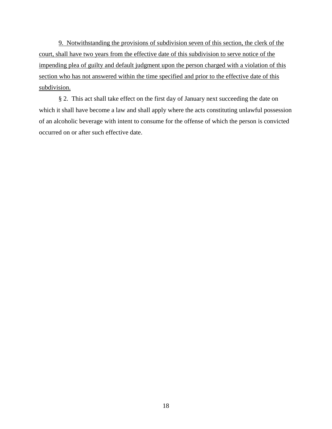9. Notwithstanding the provisions of subdivision seven of this section, the clerk of the court, shall have two years from the effective date of this subdivision to serve notice of the impending plea of guilty and default judgment upon the person charged with a violation of this section who has not answered within the time specified and prior to the effective date of this subdivision.

§ 2. This act shall take effect on the first day of January next succeeding the date on which it shall have become a law and shall apply where the acts constituting unlawful possession of an alcoholic beverage with intent to consume for the offense of which the person is convicted occurred on or after such effective date.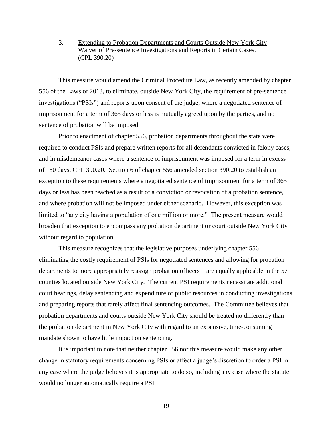## 3. Extending to Probation Departments and Courts Outside New York City Waiver of Pre-sentence Investigations and Reports in Certain Cases. (CPL 390.20)

This measure would amend the Criminal Procedure Law, as recently amended by chapter 556 of the Laws of 2013, to eliminate, outside New York City, the requirement of pre-sentence investigations ("PSIs") and reports upon consent of the judge, where a negotiated sentence of imprisonment for a term of 365 days or less is mutually agreed upon by the parties, and no sentence of probation will be imposed.

Prior to enactment of chapter 556, probation departments throughout the state were required to conduct PSIs and prepare written reports for all defendants convicted in felony cases, and in misdemeanor cases where a sentence of imprisonment was imposed for a term in excess of 180 days. CPL 390.20. Section 6 of chapter 556 amended section 390.20 to establish an exception to these requirements where a negotiated sentence of imprisonment for a term of 365 days or less has been reached as a result of a conviction or revocation of a probation sentence, and where probation will not be imposed under either scenario. However, this exception was limited to "any city having a population of one million or more." The present measure would broaden that exception to encompass any probation department or court outside New York City without regard to population.

This measure recognizes that the legislative purposes underlying chapter 556 – eliminating the costly requirement of PSIs for negotiated sentences and allowing for probation departments to more appropriately reassign probation officers – are equally applicable in the 57 counties located outside New York City. The current PSI requirements necessitate additional court hearings, delay sentencing and expenditure of public resources in conducting investigations and preparing reports that rarely affect final sentencing outcomes. The Committee believes that probation departments and courts outside New York City should be treated no differently than the probation department in New York City with regard to an expensive, time-consuming mandate shown to have little impact on sentencing.

It is important to note that neither chapter 556 nor this measure would make any other change in statutory requirements concerning PSIs or affect a judge's discretion to order a PSI in any case where the judge believes it is appropriate to do so, including any case where the statute would no longer automatically require a PSI.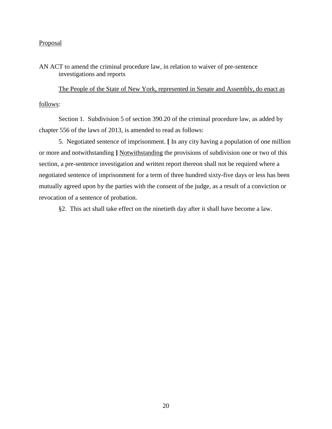AN ACT to amend the criminal procedure law, in relation to waiver of pre-sentence investigations and reports

The People of the State of New York, represented in Senate and Assembly, do enact as follows:

Section 1. Subdivision 5 of section 390.20 of the criminal procedure law, as added by chapter 556 of the laws of 2013, is amended to read as follows:

5. Negotiated sentence of imprisonment. **[** In any city having a population of one million or more and notwithstanding **]** Notwithstanding the provisions of subdivision one or two of this section, a pre-sentence investigation and written report thereon shall not be required where a negotiated sentence of imprisonment for a term of three hundred sixty-five days or less has been mutually agreed upon by the parties with the consent of the judge, as a result of a conviction or revocation of a sentence of probation.

§2. This act shall take effect on the ninetieth day after it shall have become a law.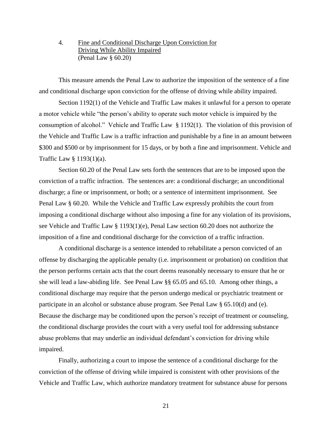4. Fine and Conditional Discharge Upon Conviction for Driving While Ability Impaired (Penal Law § 60.20)

This measure amends the Penal Law to authorize the imposition of the sentence of a fine and conditional discharge upon conviction for the offense of driving while ability impaired.

Section 1192(1) of the Vehicle and Traffic Law makes it unlawful for a person to operate a motor vehicle while "the person's ability to operate such motor vehicle is impaired by the consumption of alcohol." Vehicle and Traffic Law § 1192(1). The violation of this provision of the Vehicle and Traffic Law is a traffic infraction and punishable by a fine in an amount between \$300 and \$500 or by imprisonment for 15 days, or by both a fine and imprisonment. Vehicle and Traffic Law § 1193(1)(a).

Section 60.20 of the Penal Law sets forth the sentences that are to be imposed upon the conviction of a traffic infraction. The sentences are: a conditional discharge; an unconditional discharge; a fine or imprisonment, or both; or a sentence of intermittent imprisonment. See Penal Law § 60.20. While the Vehicle and Traffic Law expressly prohibits the court from imposing a conditional discharge without also imposing a fine for any violation of its provisions, see Vehicle and Traffic Law § 1193(1)(e), Penal Law section 60.20 does not authorize the imposition of a fine and conditional discharge for the conviction of a traffic infraction.

A conditional discharge is a sentence intended to rehabilitate a person convicted of an offense by discharging the applicable penalty (i.e. imprisonment or probation) on condition that the person performs certain acts that the court deems reasonably necessary to ensure that he or she will lead a law-abiding life. See Penal Law §§ 65.05 and 65.10. Among other things, a conditional discharge may require that the person undergo medical or psychiatric treatment or participate in an alcohol or substance abuse program. See Penal Law § 65.10(d) and (e). Because the discharge may be conditioned upon the person's receipt of treatment or counseling, the conditional discharge provides the court with a very useful tool for addressing substance abuse problems that may underlie an individual defendant's conviction for driving while impaired.

Finally, authorizing a court to impose the sentence of a conditional discharge for the conviction of the offense of driving while impaired is consistent with other provisions of the Vehicle and Traffic Law, which authorize mandatory treatment for substance abuse for persons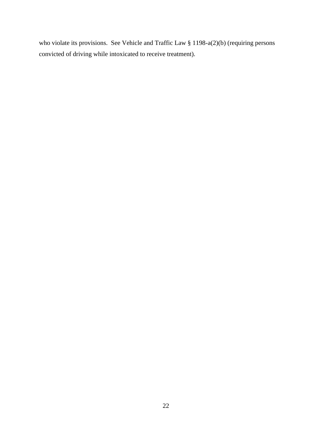who violate its provisions. See Vehicle and Traffic Law § 1198-a(2)(b) (requiring persons convicted of driving while intoxicated to receive treatment).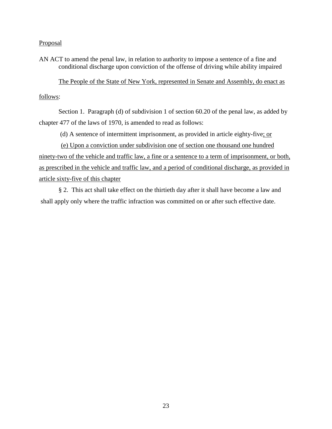AN ACT to amend the penal law, in relation to authority to impose a sentence of a fine and conditional discharge upon conviction of the offense of driving while ability impaired

The People of the State of New York, represented in Senate and Assembly, do enact as

# follows:

Section 1. Paragraph (d) of subdivision 1 of section 60.20 of the penal law, as added by chapter 477 of the laws of 1970, is amended to read as follows:

(d) A sentence of intermittent imprisonment, as provided in article eighty-five; or

 (e) Upon a conviction under subdivision one of section one thousand one hundred ninety-two of the vehicle and traffic law, a fine or a sentence to a term of imprisonment, or both, as prescribed in the vehicle and traffic law, and a period of conditional discharge, as provided in article sixty-five of this chapter

§ 2. This act shall take effect on the thirtieth day after it shall have become a law and shall apply only where the traffic infraction was committed on or after such effective date.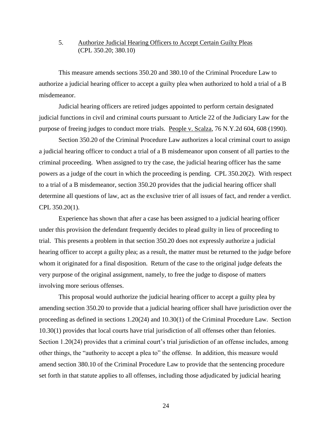## 5. Authorize Judicial Hearing Officers to Accept Certain Guilty Pleas (CPL 350.20; 380.10)

This measure amends sections 350.20 and 380.10 of the Criminal Procedure Law to authorize a judicial hearing officer to accept a guilty plea when authorized to hold a trial of a B misdemeanor.

Judicial hearing officers are retired judges appointed to perform certain designated judicial functions in civil and criminal courts pursuant to Article 22 of the Judiciary Law for the purpose of freeing judges to conduct more trials. People v. Scalza, 76 N.Y.2d 604, 608 (1990).

Section 350.20 of the Criminal Procedure Law authorizes a local criminal court to assign a judicial hearing officer to conduct a trial of a B misdemeanor upon consent of all parties to the criminal proceeding. When assigned to try the case, the judicial hearing officer has the same powers as a judge of the court in which the proceeding is pending. CPL 350.20(2). With respect to a trial of a B misdemeanor, section 350.20 provides that the judicial hearing officer shall determine all questions of law, act as the exclusive trier of all issues of fact, and render a verdict. CPL 350.20(1).

Experience has shown that after a case has been assigned to a judicial hearing officer under this provision the defendant frequently decides to plead guilty in lieu of proceeding to trial. This presents a problem in that section 350.20 does not expressly authorize a judicial hearing officer to accept a guilty plea; as a result, the matter must be returned to the judge before whom it originated for a final disposition. Return of the case to the original judge defeats the very purpose of the original assignment, namely, to free the judge to dispose of matters involving more serious offenses.

This proposal would authorize the judicial hearing officer to accept a guilty plea by amending section 350.20 to provide that a judicial hearing officer shall have jurisdiction over the proceeding as defined in sections 1.20(24) and 10.30(1) of the Criminal Procedure Law. Section 10.30(1) provides that local courts have trial jurisdiction of all offenses other than felonies. Section 1.20(24) provides that a criminal court's trial jurisdiction of an offense includes, among other things, the "authority to accept a plea to" the offense. In addition, this measure would amend section 380.10 of the Criminal Procedure Law to provide that the sentencing procedure set forth in that statute applies to all offenses, including those adjudicated by judicial hearing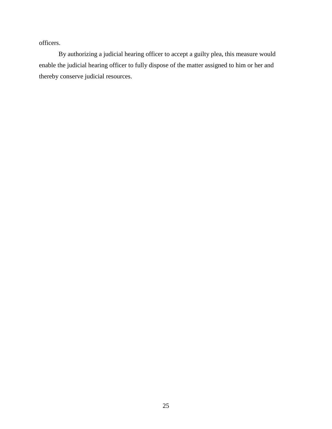officers.

By authorizing a judicial hearing officer to accept a guilty plea, this measure would enable the judicial hearing officer to fully dispose of the matter assigned to him or her and thereby conserve judicial resources.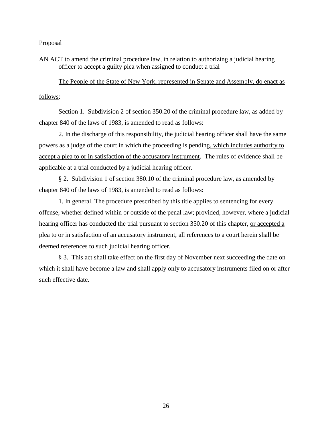AN ACT to amend the criminal procedure law, in relation to authorizing a judicial hearing officer to accept a guilty plea when assigned to conduct a trial

The People of the State of New York, represented in Senate and Assembly, do enact as follows:

Section 1. Subdivision 2 of section 350.20 of the criminal procedure law, as added by chapter 840 of the laws of 1983, is amended to read as follows:

2. In the discharge of this responsibility, the judicial hearing officer shall have the same powers as a judge of the court in which the proceeding is pending, which includes authority to accept a plea to or in satisfaction of the accusatory instrument. The rules of evidence shall be applicable at a trial conducted by a judicial hearing officer.

§ 2. Subdivision 1 of section 380.10 of the criminal procedure law, as amended by chapter 840 of the laws of 1983, is amended to read as follows:

1. In general. The procedure prescribed by this title applies to sentencing for every offense, whether defined within or outside of the penal law; provided, however, where a judicial hearing officer has conducted the trial pursuant to section 350.20 of this chapter, or accepted a plea to or in satisfaction of an accusatory instrument, all references to a court herein shall be deemed references to such judicial hearing officer.

§ 3. This act shall take effect on the first day of November next succeeding the date on which it shall have become a law and shall apply only to accusatory instruments filed on or after such effective date.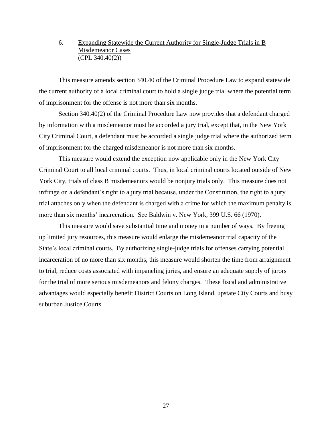## 6. Expanding Statewide the Current Authority for Single-Judge Trials in B Misdemeanor Cases (CPL 340.40(2))

This measure amends section 340.40 of the Criminal Procedure Law to expand statewide the current authority of a local criminal court to hold a single judge trial where the potential term of imprisonment for the offense is not more than six months.

Section 340.40(2) of the Criminal Procedure Law now provides that a defendant charged by information with a misdemeanor must be accorded a jury trial, except that, in the New York City Criminal Court, a defendant must be accorded a single judge trial where the authorized term of imprisonment for the charged misdemeanor is not more than six months.

This measure would extend the exception now applicable only in the New York City Criminal Court to all local criminal courts. Thus, in local criminal courts located outside of New York City, trials of class B misdemeanors would be nonjury trials only. This measure does not infringe on a defendant's right to a jury trial because, under the Constitution, the right to a jury trial attaches only when the defendant is charged with a crime for which the maximum penalty is more than six months' incarceration. See Baldwin v. New York, 399 U.S. 66 (1970).

This measure would save substantial time and money in a number of ways. By freeing up limited jury resources, this measure would enlarge the misdemeanor trial capacity of the State's local criminal courts. By authorizing single-judge trials for offenses carrying potential incarceration of no more than six months, this measure would shorten the time from arraignment to trial, reduce costs associated with impaneling juries, and ensure an adequate supply of jurors for the trial of more serious misdemeanors and felony charges. These fiscal and administrative advantages would especially benefit District Courts on Long Island, upstate City Courts and busy suburban Justice Courts.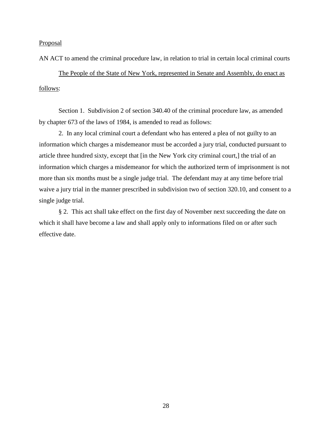AN ACT to amend the criminal procedure law, in relation to trial in certain local criminal courts

The People of the State of New York, represented in Senate and Assembly, do enact as follows:

Section 1. Subdivision 2 of section 340.40 of the criminal procedure law, as amended by chapter 673 of the laws of 1984, is amended to read as follows:

2. In any local criminal court a defendant who has entered a plea of not guilty to an information which charges a misdemeanor must be accorded a jury trial, conducted pursuant to article three hundred sixty, except that [in the New York city criminal court,] the trial of an information which charges a misdemeanor for which the authorized term of imprisonment is not more than six months must be a single judge trial. The defendant may at any time before trial waive a jury trial in the manner prescribed in subdivision two of section 320.10, and consent to a single judge trial.

§ 2. This act shall take effect on the first day of November next succeeding the date on which it shall have become a law and shall apply only to informations filed on or after such effective date.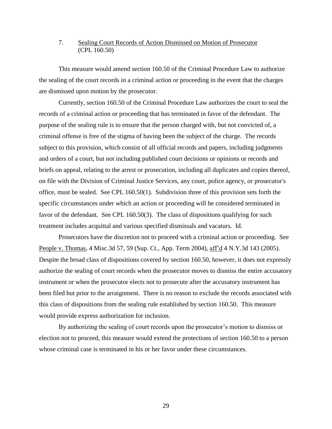# 7. Sealing Court Records of Action Dismissed on Motion of Prosecutor (CPL 160.50)

This measure would amend section 160.50 of the Criminal Procedure Law to authorize the sealing of the court records in a criminal action or proceeding in the event that the charges are dismissed upon motion by the prosecutor.

Currently, section 160.50 of the Criminal Procedure Law authorizes the court to seal the records of a criminal action or proceeding that has terminated in favor of the defendant. The purpose of the sealing rule is to ensure that the person charged with, but not convicted of, a criminal offense is free of the stigma of having been the subject of the charge. The records subject to this provision, which consist of all official records and papers, including judgments and orders of a court, but not including published court decisions or opinions or records and briefs on appeal, relating to the arrest or prosecution, including all duplicates and copies thereof, on file with the Division of Criminal Justice Services, any court, police agency, or prosecutor's office, must be sealed. See CPL 160.50(1). Subdivision three of this provision sets forth the specific circumstances under which an action or proceeding will be considered terminated in favor of the defendant. See CPL 160.50(3). The class of dispositions qualifying for such treatment includes acquittal and various specified dismissals and vacaturs. Id.

Prosecutors have the discretion not to proceed with a criminal action or proceeding. See People v. Thomas, 4 Misc.3d 57, 59 (Sup. Ct., App. Term 2004), aff'd 4 N.Y.3d 143 (2005). Despite the broad class of dispositions covered by section 160.50, however, it does not expressly authorize the sealing of court records when the prosecutor moves to dismiss the entire accusatory instrument or when the prosecutor elects not to prosecute after the accusatory instrument has been filed but prior to the arraignment. There is no reason to exclude the records associated with this class of dispositions from the sealing rule established by section 160.50. This measure would provide express authorization for inclusion.

By authorizing the sealing of court records upon the prosecutor's motion to dismiss or election not to proceed, this measure would extend the protections of section 160.50 to a person whose criminal case is terminated in his or her favor under these circumstances.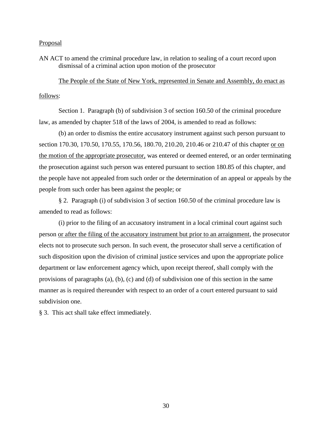AN ACT to amend the criminal procedure law, in relation to sealing of a court record upon dismissal of a criminal action upon motion of the prosecutor

The People of the State of New York, represented in Senate and Assembly, do enact as follows:

Section 1. Paragraph (b) of subdivision 3 of section 160.50 of the criminal procedure law, as amended by chapter 518 of the laws of 2004, is amended to read as follows:

(b) an order to dismiss the entire accusatory instrument against such person pursuant to section 170.30, 170.50, 170.55, 170.56, 180.70, 210.20, 210.46 or 210.47 of this chapter or on the motion of the appropriate prosecutor, was entered or deemed entered, or an order terminating the prosecution against such person was entered pursuant to section 180.85 of this chapter, and the people have not appealed from such order or the determination of an appeal or appeals by the people from such order has been against the people; or

§ 2. Paragraph (i) of subdivision 3 of section 160.50 of the criminal procedure law is amended to read as follows:

(i) prior to the filing of an accusatory instrument in a local criminal court against such person or after the filing of the accusatory instrument but prior to an arraignment, the prosecutor elects not to prosecute such person. In such event, the prosecutor shall serve a certification of such disposition upon the division of criminal justice services and upon the appropriate police department or law enforcement agency which, upon receipt thereof, shall comply with the provisions of paragraphs (a), (b), (c) and (d) of subdivision one of this section in the same manner as is required thereunder with respect to an order of a court entered pursuant to said subdivision one.

§ 3. This act shall take effect immediately.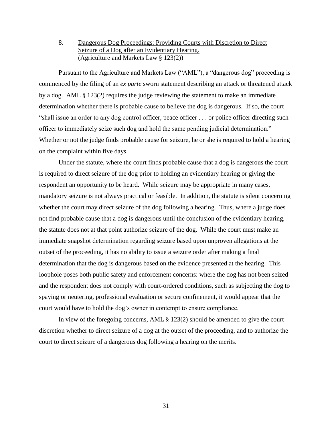8. Dangerous Dog Proceedings: Providing Courts with Discretion to Direct Seizure of a Dog after an Evidentiary Hearing. (Agriculture and Markets Law § 123(2))

Pursuant to the Agriculture and Markets Law ("AML"), a "dangerous dog" proceeding is commenced by the filing of an *ex parte* sworn statement describing an attack or threatened attack by a dog. AML § 123(2) requires the judge reviewing the statement to make an immediate determination whether there is probable cause to believe the dog is dangerous. If so, the court "shall issue an order to any dog control officer, peace officer . . . or police officer directing such officer to immediately seize such dog and hold the same pending judicial determination." Whether or not the judge finds probable cause for seizure, he or she is required to hold a hearing on the complaint within five days.

Under the statute, where the court finds probable cause that a dog is dangerous the court is required to direct seizure of the dog prior to holding an evidentiary hearing or giving the respondent an opportunity to be heard. While seizure may be appropriate in many cases, mandatory seizure is not always practical or feasible. In addition, the statute is silent concerning whether the court may direct seizure of the dog following a hearing. Thus, where a judge does not find probable cause that a dog is dangerous until the conclusion of the evidentiary hearing, the statute does not at that point authorize seizure of the dog. While the court must make an immediate snapshot determination regarding seizure based upon unproven allegations at the outset of the proceeding, it has no ability to issue a seizure order after making a final determination that the dog is dangerous based on the evidence presented at the hearing. This loophole poses both public safety and enforcement concerns: where the dog has not been seized and the respondent does not comply with court-ordered conditions, such as subjecting the dog to spaying or neutering, professional evaluation or secure confinement, it would appear that the court would have to hold the dog's owner in contempt to ensure compliance.

In view of the foregoing concerns, AML § 123(2) should be amended to give the court discretion whether to direct seizure of a dog at the outset of the proceeding, and to authorize the court to direct seizure of a dangerous dog following a hearing on the merits.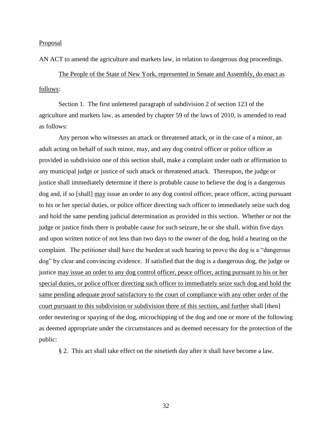AN ACT to amend the agriculture and markets law, in relation to dangerous dog proceedings.

The People of the State of New York, represented in Senate and Assembly, do enact as follows:

Section 1. The first unlettered paragraph of subdivision 2 of section 123 of the agriculture and markets law, as amended by chapter 59 of the laws of 2010, is amended to read as follows:

Any person who witnesses an attack or threatened attack, or in the case of a minor, an adult acting on behalf of such minor, may, and any dog control officer or police officer as provided in subdivision one of this section shall, make a complaint under oath or affirmation to any municipal judge or justice of such attack or threatened attack. Thereupon, the judge or justice shall immediately determine if there is probable cause to believe the dog is a dangerous dog and, if so [shall] may issue an order to any dog control officer, peace officer, acting pursuant to his or her special duties, or police officer directing such officer to immediately seize such dog and hold the same pending judicial determination as provided in this section. Whether or not the judge or justice finds there is probable cause for such seizure, he or she shall, within five days and upon written notice of not less than two days to the owner of the dog, hold a hearing on the complaint. The petitioner shall have the burden at such hearing to prove the dog is a "dangerous dog" by clear and convincing evidence. If satisfied that the dog is a dangerous dog, the judge or justice may issue an order to any dog control officer, peace officer, acting pursuant to his or her special duties, or police officer directing such officer to immediately seize such dog and hold the same pending adequate proof satisfactory to the court of compliance with any other order of the court pursuant to this subdivision or subdivision three of this section, and further shall [then] order neutering or spaying of the dog, microchipping of the dog and one or more of the following as deemed appropriate under the circumstances and as deemed necessary for the protection of the public:

§ 2. This act shall take effect on the ninetieth day after it shall have become a law.